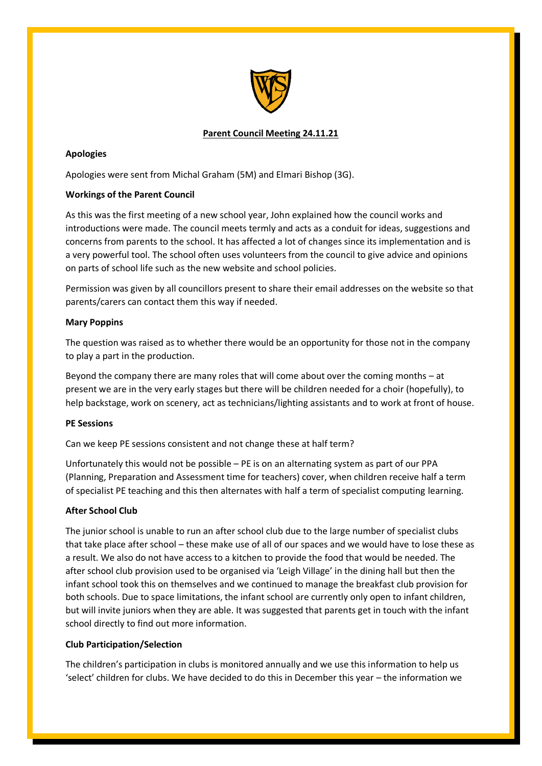

# **Parent Council Meeting 24.11.21**

# **Apologies**

Apologies were sent from Michal Graham (5M) and Elmari Bishop (3G).

# **Workings of the Parent Council**

As this was the first meeting of a new school year, John explained how the council works and introductions were made. The council meets termly and acts as a conduit for ideas, suggestions and concerns from parents to the school. It has affected a lot of changes since its implementation and is a very powerful tool. The school often uses volunteers from the council to give advice and opinions on parts of school life such as the new website and school policies.

Permission was given by all councillors present to share their email addresses on the website so that parents/carers can contact them this way if needed.

# **Mary Poppins**

The question was raised as to whether there would be an opportunity for those not in the company to play a part in the production.

Beyond the company there are many roles that will come about over the coming months – at present we are in the very early stages but there will be children needed for a choir (hopefully), to help backstage, work on scenery, act as technicians/lighting assistants and to work at front of house.

# **PE Sessions**

Can we keep PE sessions consistent and not change these at half term?

Unfortunately this would not be possible – PE is on an alternating system as part of our PPA (Planning, Preparation and Assessment time for teachers) cover, when children receive half a term of specialist PE teaching and this then alternates with half a term of specialist computing learning.

# **After School Club**

The junior school is unable to run an after school club due to the large number of specialist clubs that take place after school – these make use of all of our spaces and we would have to lose these as a result. We also do not have access to a kitchen to provide the food that would be needed. The after school club provision used to be organised via 'Leigh Village' in the dining hall but then the infant school took this on themselves and we continued to manage the breakfast club provision for both schools. Due to space limitations, the infant school are currently only open to infant children, but will invite juniors when they are able. It was suggested that parents get in touch with the infant school directly to find out more information.

# **Club Participation/Selection**

The children's participation in clubs is monitored annually and we use this information to help us 'select' children for clubs. We have decided to do this in December this year – the information we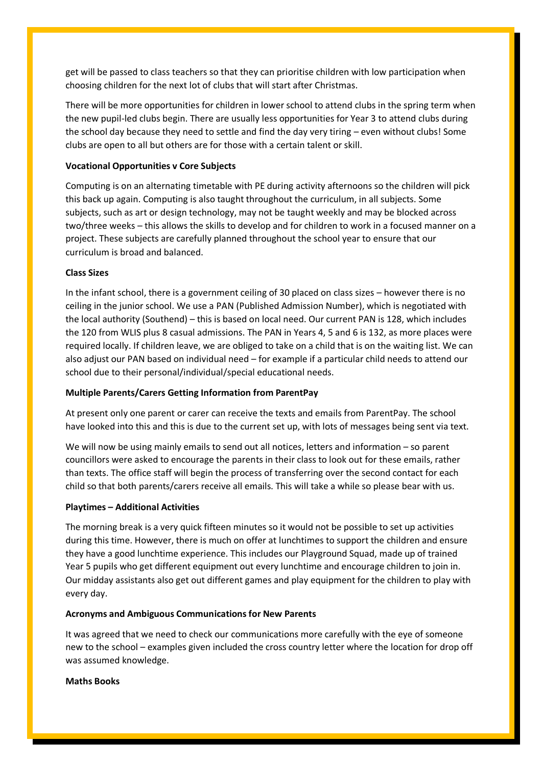get will be passed to class teachers so that they can prioritise children with low participation when choosing children for the next lot of clubs that will start after Christmas.

There will be more opportunities for children in lower school to attend clubs in the spring term when the new pupil-led clubs begin. There are usually less opportunities for Year 3 to attend clubs during the school day because they need to settle and find the day very tiring – even without clubs! Some clubs are open to all but others are for those with a certain talent or skill.

## **Vocational Opportunities v Core Subjects**

Computing is on an alternating timetable with PE during activity afternoons so the children will pick this back up again. Computing is also taught throughout the curriculum, in all subjects. Some subjects, such as art or design technology, may not be taught weekly and may be blocked across two/three weeks – this allows the skills to develop and for children to work in a focused manner on a project. These subjects are carefully planned throughout the school year to ensure that our curriculum is broad and balanced.

## **Class Sizes**

In the infant school, there is a government ceiling of 30 placed on class sizes – however there is no ceiling in the junior school. We use a PAN (Published Admission Number), which is negotiated with the local authority (Southend) – this is based on local need. Our current PAN is 128, which includes the 120 from WLIS plus 8 casual admissions. The PAN in Years 4, 5 and 6 is 132, as more places were required locally. If children leave, we are obliged to take on a child that is on the waiting list. We can also adjust our PAN based on individual need – for example if a particular child needs to attend our school due to their personal/individual/special educational needs.

## **Multiple Parents/Carers Getting Information from ParentPay**

At present only one parent or carer can receive the texts and emails from ParentPay. The school have looked into this and this is due to the current set up, with lots of messages being sent via text.

We will now be using mainly emails to send out all notices, letters and information – so parent councillors were asked to encourage the parents in their class to look out for these emails, rather than texts. The office staff will begin the process of transferring over the second contact for each child so that both parents/carers receive all emails. This will take a while so please bear with us.

## **Playtimes – Additional Activities**

The morning break is a very quick fifteen minutes so it would not be possible to set up activities during this time. However, there is much on offer at lunchtimes to support the children and ensure they have a good lunchtime experience. This includes our Playground Squad, made up of trained Year 5 pupils who get different equipment out every lunchtime and encourage children to join in. Our midday assistants also get out different games and play equipment for the children to play with every day.

## **Acronyms and Ambiguous Communications for New Parents**

It was agreed that we need to check our communications more carefully with the eye of someone new to the school – examples given included the cross country letter where the location for drop off was assumed knowledge.

## **Maths Books**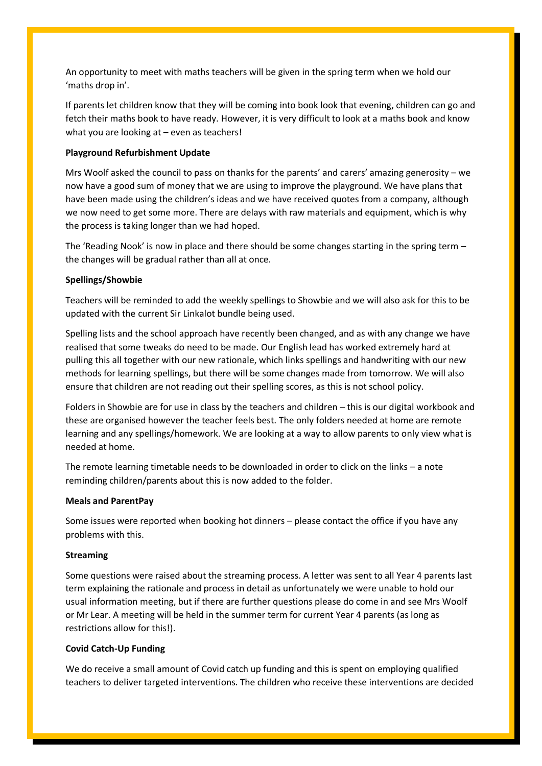An opportunity to meet with maths teachers will be given in the spring term when we hold our 'maths drop in'.

If parents let children know that they will be coming into book look that evening, children can go and fetch their maths book to have ready. However, it is very difficult to look at a maths book and know what you are looking at – even as teachers!

### **Playground Refurbishment Update**

Mrs Woolf asked the council to pass on thanks for the parents' and carers' amazing generosity – we now have a good sum of money that we are using to improve the playground. We have plans that have been made using the children's ideas and we have received quotes from a company, although we now need to get some more. There are delays with raw materials and equipment, which is why the process is taking longer than we had hoped.

The 'Reading Nook' is now in place and there should be some changes starting in the spring term – the changes will be gradual rather than all at once.

### **Spellings/Showbie**

Teachers will be reminded to add the weekly spellings to Showbie and we will also ask for this to be updated with the current Sir Linkalot bundle being used.

Spelling lists and the school approach have recently been changed, and as with any change we have realised that some tweaks do need to be made. Our English lead has worked extremely hard at pulling this all together with our new rationale, which links spellings and handwriting with our new methods for learning spellings, but there will be some changes made from tomorrow. We will also ensure that children are not reading out their spelling scores, as this is not school policy.

Folders in Showbie are for use in class by the teachers and children – this is our digital workbook and these are organised however the teacher feels best. The only folders needed at home are remote learning and any spellings/homework. We are looking at a way to allow parents to only view what is needed at home.

The remote learning timetable needs to be downloaded in order to click on the links – a note reminding children/parents about this is now added to the folder.

### **Meals and ParentPay**

Some issues were reported when booking hot dinners – please contact the office if you have any problems with this.

### **Streaming**

Some questions were raised about the streaming process. A letter was sent to all Year 4 parents last term explaining the rationale and process in detail as unfortunately we were unable to hold our usual information meeting, but if there are further questions please do come in and see Mrs Woolf or Mr Lear. A meeting will be held in the summer term for current Year 4 parents (as long as restrictions allow for this!).

### **Covid Catch-Up Funding**

We do receive a small amount of Covid catch up funding and this is spent on employing qualified teachers to deliver targeted interventions. The children who receive these interventions are decided